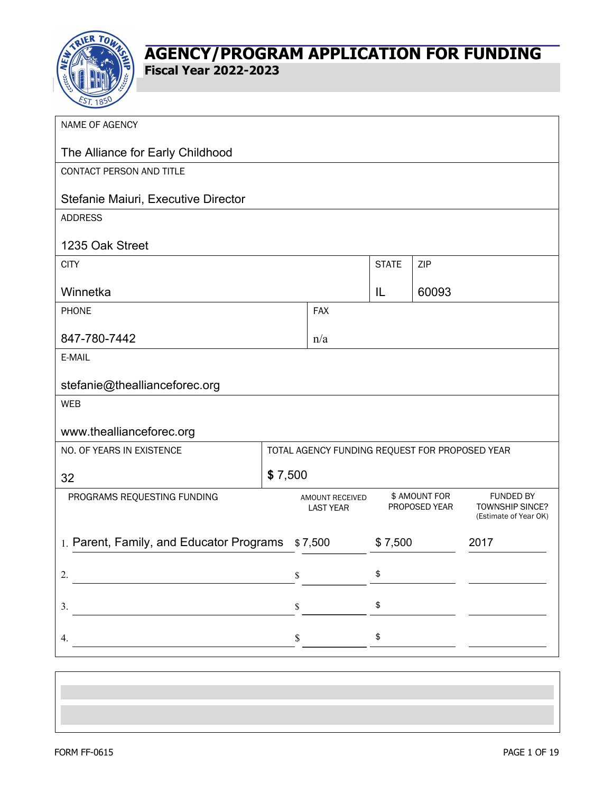

**Fiscal Year 2022-2023**

| NAME OF AGENCY                                                         |         |                                                |              |                                |                                                                     |
|------------------------------------------------------------------------|---------|------------------------------------------------|--------------|--------------------------------|---------------------------------------------------------------------|
| The Alliance for Early Childhood                                       |         |                                                |              |                                |                                                                     |
| CONTACT PERSON AND TITLE                                               |         |                                                |              |                                |                                                                     |
| Stefanie Maiuri, Executive Director                                    |         |                                                |              |                                |                                                                     |
| <b>ADDRESS</b>                                                         |         |                                                |              |                                |                                                                     |
| 1235 Oak Street                                                        |         |                                                |              |                                |                                                                     |
| <b>CITY</b>                                                            |         |                                                | <b>STATE</b> | ZIP                            |                                                                     |
| Winnetka                                                               |         |                                                | IL           | 60093                          |                                                                     |
| <b>PHONE</b>                                                           |         | <b>FAX</b>                                     |              |                                |                                                                     |
| 847-780-7442                                                           |         | n/a                                            |              |                                |                                                                     |
| E-MAIL                                                                 |         |                                                |              |                                |                                                                     |
| stefanie@theallianceforec.org                                          |         |                                                |              |                                |                                                                     |
| <b>WEB</b>                                                             |         |                                                |              |                                |                                                                     |
| www.theallianceforec.org                                               |         |                                                |              |                                |                                                                     |
| NO. OF YEARS IN EXISTENCE                                              |         | TOTAL AGENCY FUNDING REQUEST FOR PROPOSED YEAR |              |                                |                                                                     |
| 32                                                                     | \$7,500 |                                                |              |                                |                                                                     |
| PROGRAMS REQUESTING FUNDING                                            |         | AMOUNT RECEIVED<br><b>LAST YEAR</b>            |              | \$ AMOUNT FOR<br>PROPOSED YEAR | <b>FUNDED BY</b><br><b>TOWNSHIP SINCE?</b><br>(Estimate of Year OK) |
| 1. Parent, Family, and Educator Programs<br>\$7,500<br>2017<br>\$7,500 |         |                                                |              |                                |                                                                     |
| 2.                                                                     | \$      |                                                | \$           |                                |                                                                     |
|                                                                        |         |                                                |              |                                |                                                                     |
| 3.                                                                     | \$      |                                                | \$           |                                |                                                                     |
| 4.                                                                     | \$      |                                                | \$           |                                |                                                                     |
|                                                                        |         |                                                |              |                                |                                                                     |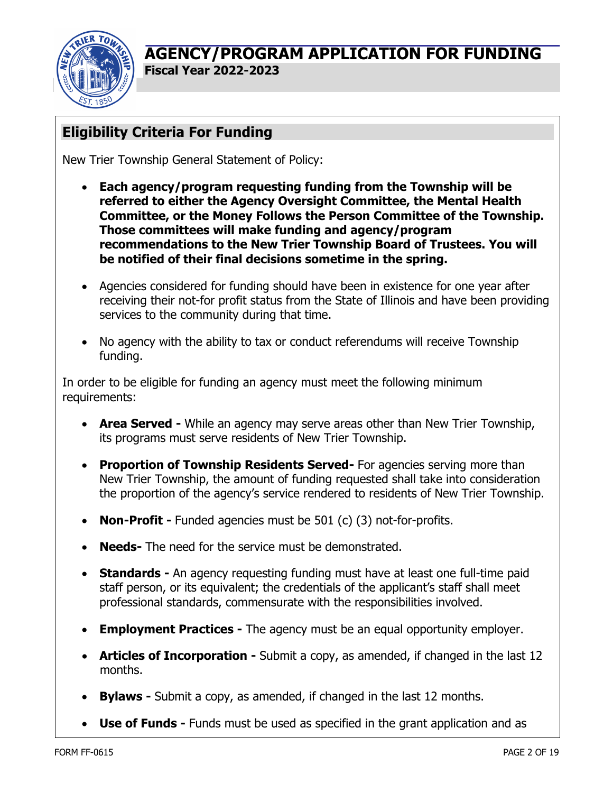

**Fiscal Year 2022-2023**

# **Eligibility Criteria For Funding**

New Trier Township General Statement of Policy:

- **Each agency/program requesting funding from the Township will be referred to either the Agency Oversight Committee, the Mental Health Committee, or the Money Follows the Person Committee of the Township. Those committees will make funding and agency/program recommendations to the New Trier Township Board of Trustees. You will be notified of their final decisions sometime in the spring.**
- Agencies considered for funding should have been in existence for one year after receiving their not-for profit status from the State of Illinois and have been providing services to the community during that time.
- No agency with the ability to tax or conduct referendums will receive Township funding.

In order to be eligible for funding an agency must meet the following minimum requirements:

- **Area Served -** While an agency may serve areas other than New Trier Township, its programs must serve residents of New Trier Township.
- **Proportion of Township Residents Served-** For agencies serving more than New Trier Township, the amount of funding requested shall take into consideration the proportion of the agency's service rendered to residents of New Trier Township.
- **Non-Profit -** Funded agencies must be 501 (c) (3) not-for-profits.
- **Needs-** The need for the service must be demonstrated.
- **Standards -** An agency requesting funding must have at least one full-time paid staff person, or its equivalent; the credentials of the applicant's staff shall meet professional standards, commensurate with the responsibilities involved.
- **Employment Practices -** The agency must be an equal opportunity employer.
- **Articles of Incorporation -** Submit a copy, as amended, if changed in the last 12 months.
- **Bylaws -** Submit a copy, as amended, if changed in the last 12 months.
- **Use of Funds -** Funds must be used as specified in the grant application and as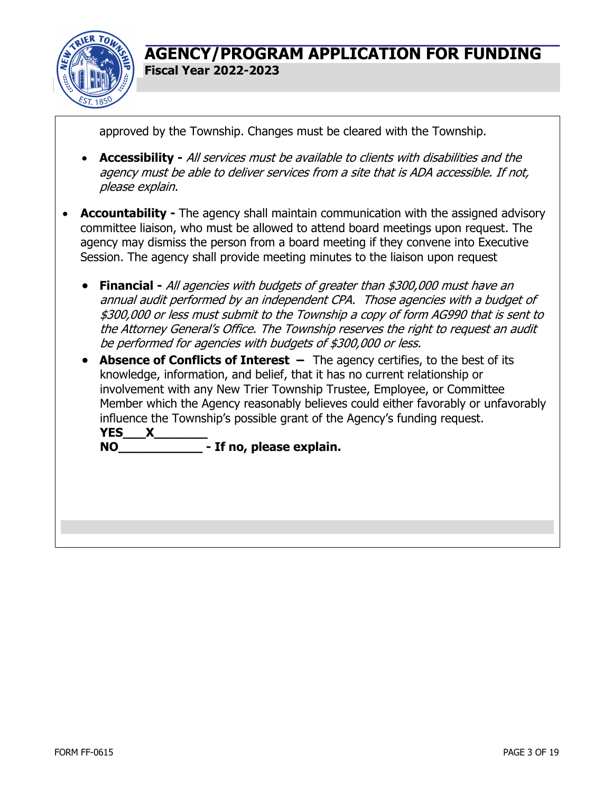

approved by the Township. Changes must be cleared with the Township.

- **Accessibility -** All services must be available to clients with disabilities and the agency must be able to deliver services from a site that is ADA accessible. If not, please explain.
- **Accountability -** The agency shall maintain communication with the assigned advisory committee liaison, who must be allowed to attend board meetings upon request. The agency may dismiss the person from a board meeting if they convene into Executive Session. The agency shall provide meeting minutes to the liaison upon request
	- **Financial -** All agencies with budgets of greater than \$300,000 must have an annual audit performed by an independent CPA. Those agencies with a budget of \$300,000 or less must submit to the Township a copy of form AG990 that is sent to the Attorney General's Office. The Township reserves the right to request an audit be performed for agencies with budgets of \$300,000 or less.
	- **Absence of Conflicts of Interest** The agency certifies, to the best of its knowledge, information, and belief, that it has no current relationship or involvement with any New Trier Township Trustee, Employee, or Committee Member which the Agency reasonably believes could either favorably or unfavorably influence the Township's possible grant of the Agency's funding request. **YES\_\_\_X\_\_\_\_\_\_\_ NO\_\_\_\_\_\_\_\_\_\_\_ - If no, please explain.**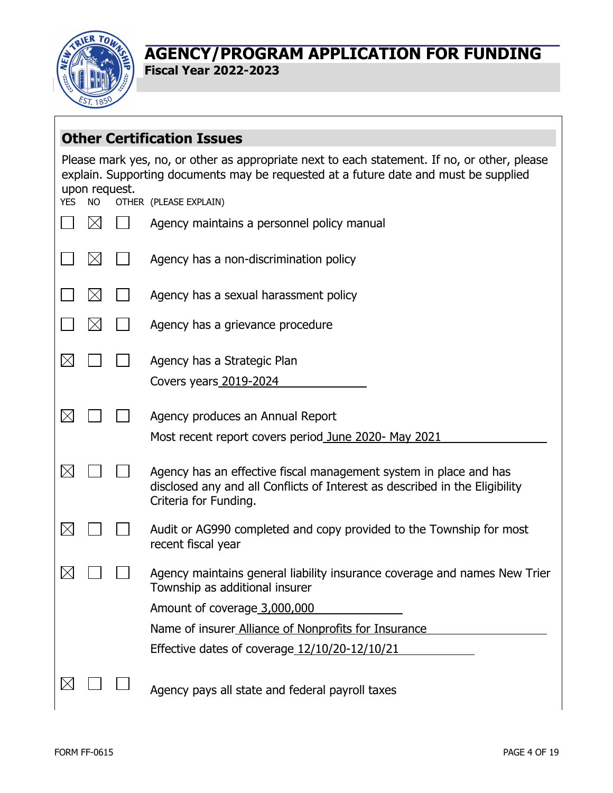

**Fiscal Year 2022-2023**

|            |                                                                                                                                                                                                       |  | <b>Other Certification Issues</b>                                                                                                                                         |  |  |  |
|------------|-------------------------------------------------------------------------------------------------------------------------------------------------------------------------------------------------------|--|---------------------------------------------------------------------------------------------------------------------------------------------------------------------------|--|--|--|
|            | Please mark yes, no, or other as appropriate next to each statement. If no, or other, please<br>explain. Supporting documents may be requested at a future date and must be supplied<br>upon request. |  |                                                                                                                                                                           |  |  |  |
| <b>YES</b> | <b>NO</b>                                                                                                                                                                                             |  | OTHER (PLEASE EXPLAIN)                                                                                                                                                    |  |  |  |
|            |                                                                                                                                                                                                       |  | Agency maintains a personnel policy manual                                                                                                                                |  |  |  |
|            |                                                                                                                                                                                                       |  | Agency has a non-discrimination policy                                                                                                                                    |  |  |  |
|            |                                                                                                                                                                                                       |  | Agency has a sexual harassment policy                                                                                                                                     |  |  |  |
|            |                                                                                                                                                                                                       |  | Agency has a grievance procedure                                                                                                                                          |  |  |  |
|            |                                                                                                                                                                                                       |  | Agency has a Strategic Plan                                                                                                                                               |  |  |  |
|            |                                                                                                                                                                                                       |  | Covers years 2019-2024                                                                                                                                                    |  |  |  |
|            |                                                                                                                                                                                                       |  | Agency produces an Annual Report                                                                                                                                          |  |  |  |
|            |                                                                                                                                                                                                       |  | Most recent report covers period June 2020- May 2021                                                                                                                      |  |  |  |
|            |                                                                                                                                                                                                       |  | Agency has an effective fiscal management system in place and has<br>disclosed any and all Conflicts of Interest as described in the Eligibility<br>Criteria for Funding. |  |  |  |
|            |                                                                                                                                                                                                       |  | Audit or AG990 completed and copy provided to the Township for most<br>recent fiscal year                                                                                 |  |  |  |
|            |                                                                                                                                                                                                       |  | Agency maintains general liability insurance coverage and names New Trier<br>Township as additional insurer                                                               |  |  |  |
|            |                                                                                                                                                                                                       |  | Amount of coverage 3,000,000                                                                                                                                              |  |  |  |
|            |                                                                                                                                                                                                       |  | Name of insurer Alliance of Nonprofits for Insurance                                                                                                                      |  |  |  |
|            |                                                                                                                                                                                                       |  | Effective dates of coverage 12/10/20-12/10/21                                                                                                                             |  |  |  |
|            |                                                                                                                                                                                                       |  | Agency pays all state and federal payroll taxes                                                                                                                           |  |  |  |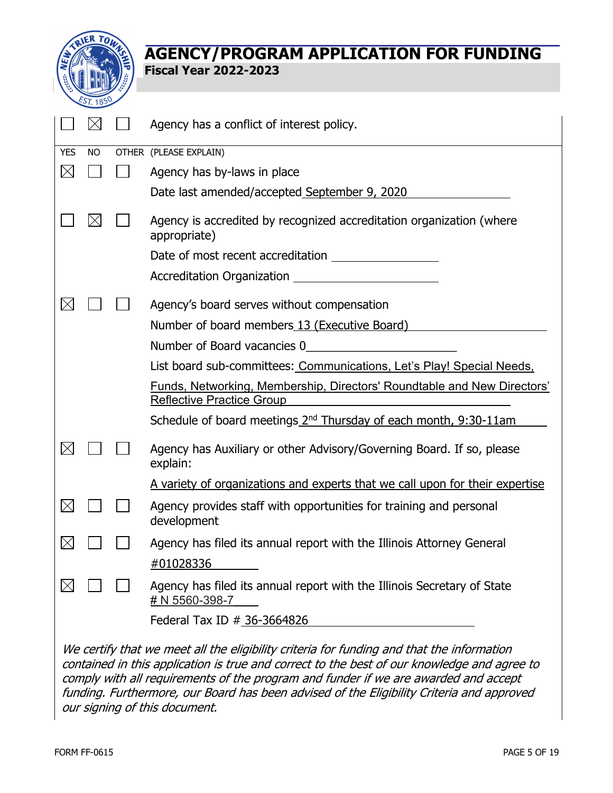

|             |           | Agency has a conflict of interest policy.                                                                                                                                                                                                                                       |
|-------------|-----------|---------------------------------------------------------------------------------------------------------------------------------------------------------------------------------------------------------------------------------------------------------------------------------|
| <b>YES</b>  | <b>NO</b> | OTHER (PLEASE EXPLAIN)                                                                                                                                                                                                                                                          |
| $\boxtimes$ |           | Agency has by-laws in place                                                                                                                                                                                                                                                     |
|             |           | Date last amended/accepted September 9, 2020                                                                                                                                                                                                                                    |
|             |           | Agency is accredited by recognized accreditation organization (where<br>appropriate)                                                                                                                                                                                            |
|             |           |                                                                                                                                                                                                                                                                                 |
|             |           |                                                                                                                                                                                                                                                                                 |
|             |           | Agency's board serves without compensation                                                                                                                                                                                                                                      |
|             |           | Number of board members 13 (Executive Board)                                                                                                                                                                                                                                    |
|             |           | Number of Board vacancies 0                                                                                                                                                                                                                                                     |
|             |           | List board sub-committees: Communications, Let's Play! Special Needs,                                                                                                                                                                                                           |
|             |           | Funds, Networking, Membership, Directors' Roundtable and New Directors'<br><b>Reflective Practice Group</b>                                                                                                                                                                     |
|             |           | Schedule of board meetings 2 <sup>nd</sup> Thursday of each month, 9:30-11am                                                                                                                                                                                                    |
|             |           | Agency has Auxiliary or other Advisory/Governing Board. If so, please<br>explain:                                                                                                                                                                                               |
|             |           | <u>A variety of organizations and experts that we call upon for their expertise</u>                                                                                                                                                                                             |
|             |           | Agency provides staff with opportunities for training and personal<br>development                                                                                                                                                                                               |
|             |           | Agency has filed its annual report with the Illinois Attorney General                                                                                                                                                                                                           |
|             |           | #01028336                                                                                                                                                                                                                                                                       |
|             |           | Agency has filed its annual report with the Illinois Secretary of State<br># N 5560-398-7                                                                                                                                                                                       |
|             |           | Federal Tax ID # 36-3664826                                                                                                                                                                                                                                                     |
|             |           | We certify that we meet all the eligibility criteria for funding and that the information<br>contained in this application is true and correct to the best of our knowledge and agree to<br>comply with all roquiromonts of the program and funder if we are awarded and accopt |

comply with all requirements of the program and funder if we are awarded and accept funding. Furthermore, our Board has been advised of the Eligibility Criteria and approved our signing of this document.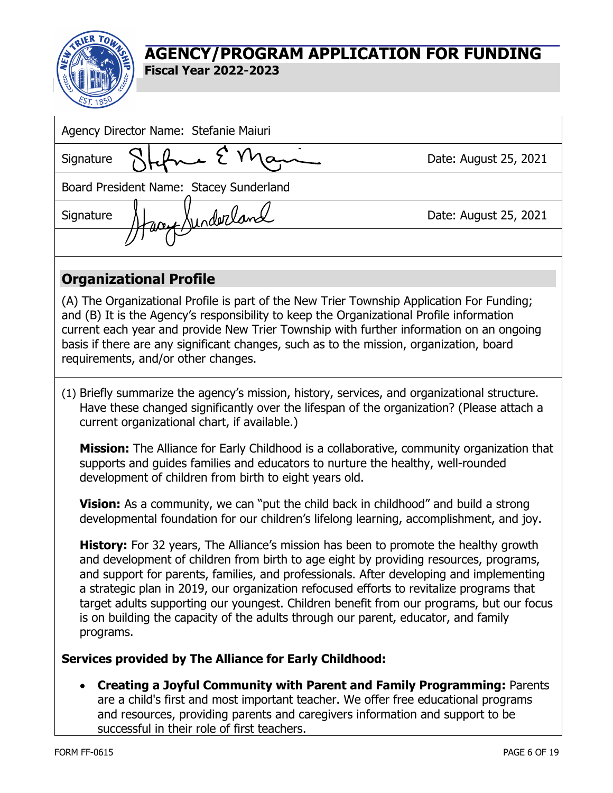

| Agency Director Name: Stefanie Maiuri                                                                                                                                                                                                                                                                                                                                                                                                                                                                                                                                      |                       |  |  |  |  |
|----------------------------------------------------------------------------------------------------------------------------------------------------------------------------------------------------------------------------------------------------------------------------------------------------------------------------------------------------------------------------------------------------------------------------------------------------------------------------------------------------------------------------------------------------------------------------|-----------------------|--|--|--|--|
| Signature                                                                                                                                                                                                                                                                                                                                                                                                                                                                                                                                                                  | Date: August 25, 2021 |  |  |  |  |
| Board President Name: Stacey Sunderland                                                                                                                                                                                                                                                                                                                                                                                                                                                                                                                                    |                       |  |  |  |  |
| 1004 Junderland<br>Signature                                                                                                                                                                                                                                                                                                                                                                                                                                                                                                                                               | Date: August 25, 2021 |  |  |  |  |
|                                                                                                                                                                                                                                                                                                                                                                                                                                                                                                                                                                            |                       |  |  |  |  |
| <b>Organizational Profile</b>                                                                                                                                                                                                                                                                                                                                                                                                                                                                                                                                              |                       |  |  |  |  |
| (A) The Organizational Profile is part of the New Trier Township Application For Funding;<br>and (B) It is the Agency's responsibility to keep the Organizational Profile information<br>current each year and provide New Trier Township with further information on an ongoing<br>basis if there are any significant changes, such as to the mission, organization, board<br>requirements, and/or other changes.                                                                                                                                                         |                       |  |  |  |  |
| (1) Briefly summarize the agency's mission, history, services, and organizational structure.<br>Have these changed significantly over the lifespan of the organization? (Please attach a<br>current organizational chart, if available.)                                                                                                                                                                                                                                                                                                                                   |                       |  |  |  |  |
| Mission: The Alliance for Early Childhood is a collaborative, community organization that<br>supports and guides families and educators to nurture the healthy, well-rounded<br>development of children from birth to eight years old.                                                                                                                                                                                                                                                                                                                                     |                       |  |  |  |  |
| <b>Vision:</b> As a community, we can "put the child back in childhood" and build a strong<br>developmental foundation for our children's lifelong learning, accomplishment, and joy.                                                                                                                                                                                                                                                                                                                                                                                      |                       |  |  |  |  |
| <b>History:</b> For 32 years, The Alliance's mission has been to promote the healthy growth<br>and development of children from birth to age eight by providing resources, programs,<br>and support for parents, families, and professionals. After developing and implementing<br>a strategic plan in 2019, our organization refocused efforts to revitalize programs that<br>target adults supporting our youngest. Children benefit from our programs, but our focus<br>is on building the capacity of the adults through our parent, educator, and family<br>programs. |                       |  |  |  |  |
| Services provided by The Alliance for Early Childhood:                                                                                                                                                                                                                                                                                                                                                                                                                                                                                                                     |                       |  |  |  |  |
| <b>Creating a Joyful Community with Parent and Family Programming: Parents</b><br>$\bullet$<br>are a child's first and most important teacher. We offer free educational programs<br>and resources, providing parents and caregivers information and support to be<br>successful in their role of first teachers.                                                                                                                                                                                                                                                          |                       |  |  |  |  |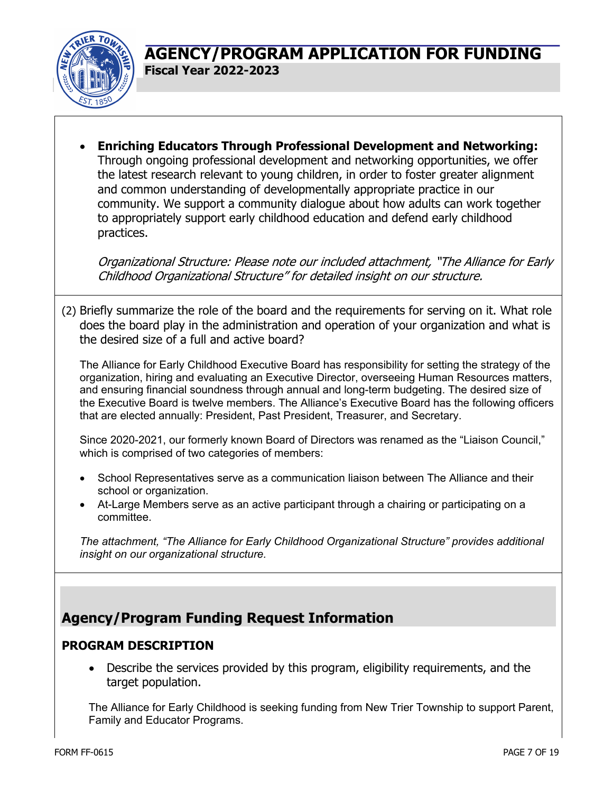

• **Enriching Educators Through Professional Development and Networking:** Through ongoing professional development and networking opportunities, we offer the latest research relevant to young children, in order to foster greater alignment and common understanding of developmentally appropriate practice in our community. We support a community dialogue about how adults can work together to appropriately support early childhood education and defend early childhood practices.

Organizational Structure: Please note our included attachment, "The Alliance for Early Childhood Organizational Structure" for detailed insight on our structure.

(2) Briefly summarize the role of the board and the requirements for serving on it. What role does the board play in the administration and operation of your organization and what is the desired size of a full and active board?

The Alliance for Early Childhood Executive Board has responsibility for setting the strategy of the organization, hiring and evaluating an Executive Director, overseeing Human Resources matters, and ensuring financial soundness through annual and long-term budgeting. The desired size of the Executive Board is twelve members. The Alliance's Executive Board has the following officers that are elected annually: President, Past President, Treasurer, and Secretary.

Since 2020-2021, our formerly known Board of Directors was renamed as the "Liaison Council," which is comprised of two categories of members:

- School Representatives serve as a communication liaison between The Alliance and their school or organization.
- At-Large Members serve as an active participant through a chairing or participating on a committee.

*The attachment, "The Alliance for Early Childhood Organizational Structure" provides additional insight on our organizational structure.*

# **Agency/Program Funding Request Information**

### **PROGRAM DESCRIPTION**

• Describe the services provided by this program, eligibility requirements, and the target population.

The Alliance for Early Childhood is seeking funding from New Trier Township to support Parent, Family and Educator Programs.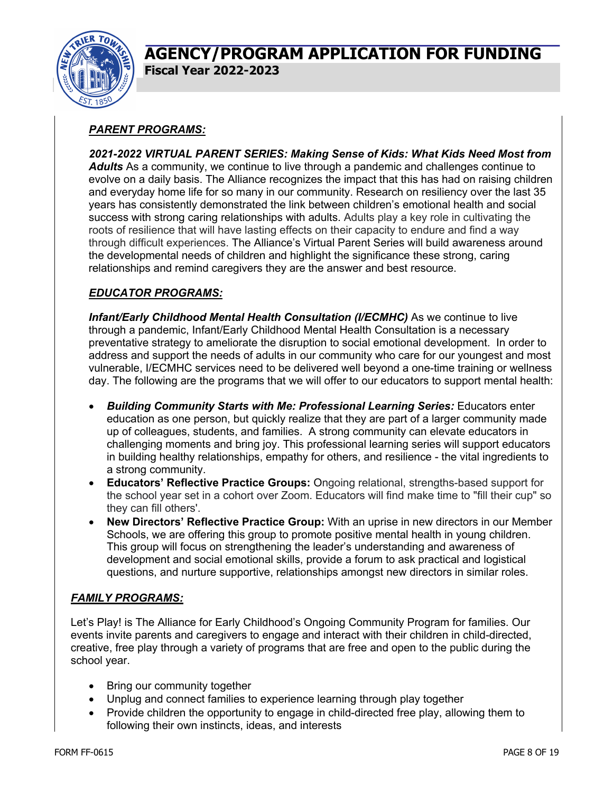

### *PARENT PROGRAMS:*

*2021-2022 VIRTUAL PARENT SERIES: Making Sense of Kids: What Kids Need Most from Adults* As a community, we continue to live through a pandemic and challenges continue to evolve on a daily basis. The Alliance recognizes the impact that this has had on raising children and everyday home life for so many in our community. Research on resiliency over the last 35 years has consistently demonstrated the link between children's emotional health and social success with strong caring relationships with adults. Adults play a key role in cultivating the roots of resilience that will have lasting effects on their capacity to endure and find a way through difficult experiences. The Alliance's Virtual Parent Series will build awareness around the developmental needs of children and highlight the significance these strong, caring relationships and remind caregivers they are the answer and best resource.

### *EDUCATOR PROGRAMS:*

**Infant/Early Childhood Mental Health Consultation (I/ECMHC)** As we continue to live through a pandemic, Infant/Early Childhood Mental Health Consultation is a necessary preventative strategy to ameliorate the disruption to social emotional development. In order to address and support the needs of adults in our community who care for our youngest and most vulnerable, I/ECMHC services need to be delivered well beyond a one-time training or wellness day. The following are the programs that we will offer to our educators to support mental health:

- *Building Community Starts with Me: Professional Learning Series:* Educators enter education as one person, but quickly realize that they are part of a larger community made up of colleagues, students, and families. A strong community can elevate educators in challenging moments and bring joy. This professional learning series will support educators in building healthy relationships, empathy for others, and resilience - the vital ingredients to a strong community.
- **Educators' Reflective Practice Groups:** Ongoing relational, strengths-based support for the school year set in a cohort over Zoom. Educators will find make time to "fill their cup" so they can fill others'.
- **New Directors' Reflective Practice Group:** With an uprise in new directors in our Member Schools, we are offering this group to promote positive mental health in young children. This group will focus on strengthening the leader's understanding and awareness of development and social emotional skills, provide a forum to ask practical and logistical questions, and nurture supportive, relationships amongst new directors in similar roles.

#### *FAMILY PROGRAMS:*

Let's Play! is The Alliance for Early Childhood's Ongoing Community Program for families. Our events invite parents and caregivers to engage and interact with their children in child-directed, creative, free play through a variety of programs that are free and open to the public during the school year.

- Bring our community together
- Unplug and connect families to experience learning through play together
- Provide children the opportunity to engage in child-directed free play, allowing them to following their own instincts, ideas, and interests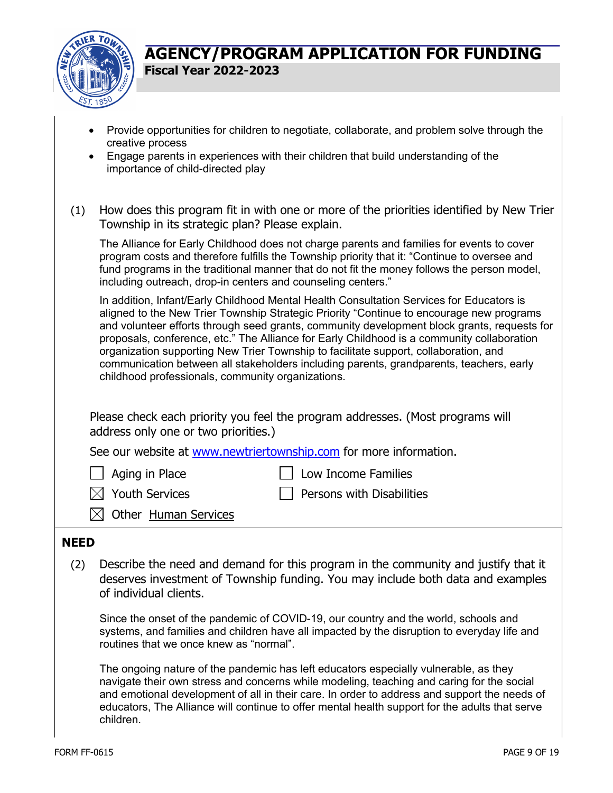

- Provide opportunities for children to negotiate, collaborate, and problem solve through the creative process
- Engage parents in experiences with their children that build understanding of the importance of child-directed play
- (1) How does this program fit in with one or more of the priorities identified by New Trier Township in its strategic plan? Please explain.

The Alliance for Early Childhood does not charge parents and families for events to cover program costs and therefore fulfills the Township priority that it: "Continue to oversee and fund programs in the traditional manner that do not fit the money follows the person model, including outreach, drop-in centers and counseling centers."

In addition, Infant/Early Childhood Mental Health Consultation Services for Educators is aligned to the New Trier Township Strategic Priority "Continue to encourage new programs and volunteer efforts through seed grants, community development block grants, requests for proposals, conference, etc." The Alliance for Early Childhood is a community collaboration organization supporting New Trier Township to facilitate support, collaboration, and communication between all stakeholders including parents, grandparents, teachers, early childhood professionals, community organizations.

Please check each priority you feel the program addresses. (Most programs will address only one or two priorities.)

See our website at www.newtriertownship.com for more information.

Aging in Place Low Income Families

- $\boxtimes$  Youth Services  $\Box$  Persons with Disabilities
- $\boxtimes$  Other Human Services

# **NEED**

(2) Describe the need and demand for this program in the community and justify that it deserves investment of Township funding. You may include both data and examples of individual clients.

Since the onset of the pandemic of COVID-19, our country and the world, schools and systems, and families and children have all impacted by the disruption to everyday life and routines that we once knew as "normal".

The ongoing nature of the pandemic has left educators especially vulnerable, as they navigate their own stress and concerns while modeling, teaching and caring for the social and emotional development of all in their care. In order to address and support the needs of educators, The Alliance will continue to offer mental health support for the adults that serve children.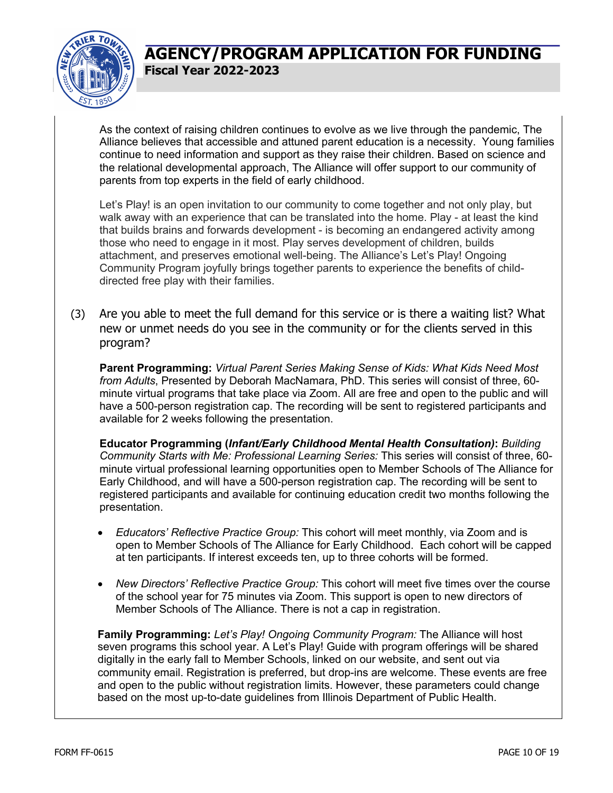

As the context of raising children continues to evolve as we live through the pandemic, The Alliance believes that accessible and attuned parent education is a necessity. Young families continue to need information and support as they raise their children. Based on science and the relational developmental approach, The Alliance will offer support to our community of parents from top experts in the field of early childhood.

Let's Play! is an open invitation to our community to come together and not only play, but walk away with an experience that can be translated into the home. Play - at least the kind that builds brains and forwards development - is becoming an endangered activity among those who need to engage in it most. Play serves development of children, builds attachment, and preserves emotional well-being. The Alliance's Let's Play! Ongoing Community Program joyfully brings together parents to experience the benefits of childdirected free play with their families.

(3) Are you able to meet the full demand for this service or is there a waiting list? What new or unmet needs do you see in the community or for the clients served in this program?

**Parent Programming:** *Virtual Parent Series Making Sense of Kids: What Kids Need Most from Adults*, Presented by Deborah MacNamara, PhD. This series will consist of three, 60 minute virtual programs that take place via Zoom. All are free and open to the public and will have a 500-person registration cap. The recording will be sent to registered participants and available for 2 weeks following the presentation.

**Educator Programming (***Infant/Early Childhood Mental Health Consultation)***:** *Building Community Starts with Me: Professional Learning Series:* This series will consist of three, 60 minute virtual professional learning opportunities open to Member Schools of The Alliance for Early Childhood, and will have a 500-person registration cap. The recording will be sent to registered participants and available for continuing education credit two months following the presentation.

- *Educators' Reflective Practice Group:* This cohort will meet monthly, via Zoom and is open to Member Schools of The Alliance for Early Childhood. Each cohort will be capped at ten participants. If interest exceeds ten, up to three cohorts will be formed.
- *New Directors' Reflective Practice Group:* This cohort will meet five times over the course of the school year for 75 minutes via Zoom. This support is open to new directors of Member Schools of The Alliance. There is not a cap in registration.

**Family Programming:** *Let's Play! Ongoing Community Program:* The Alliance will host seven programs this school year. A Let's Play! Guide with program offerings will be shared digitally in the early fall to Member Schools, linked on our website, and sent out via community email. Registration is preferred, but drop-ins are welcome. These events are free and open to the public without registration limits. However, these parameters could change based on the most up-to-date guidelines from Illinois Department of Public Health.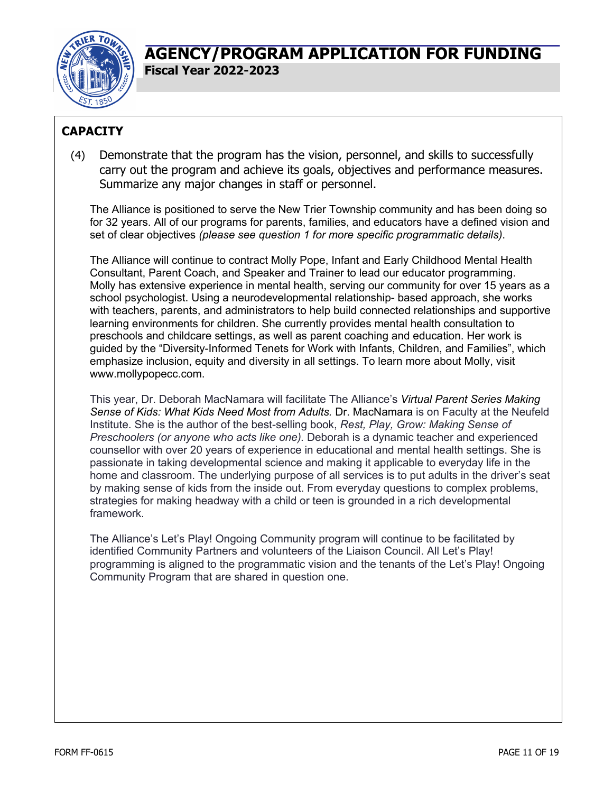

# **CAPACITY**

(4) Demonstrate that the program has the vision, personnel, and skills to successfully carry out the program and achieve its goals, objectives and performance measures. Summarize any major changes in staff or personnel.

The Alliance is positioned to serve the New Trier Township community and has been doing so for 32 years. All of our programs for parents, families, and educators have a defined vision and set of clear objectives *(please see question 1 for more specific programmatic details)*.

The Alliance will continue to contract Molly Pope, Infant and Early Childhood Mental Health Consultant, Parent Coach, and Speaker and Trainer to lead our educator programming. Molly has extensive experience in mental health, serving our community for over 15 years as a school psychologist. Using a neurodevelopmental relationship- based approach, she works with teachers, parents, and administrators to help build connected relationships and supportive learning environments for children. She currently provides mental health consultation to preschools and childcare settings, as well as parent coaching and education. Her work is guided by the "Diversity-Informed Tenets for Work with Infants, Children, and Families", which emphasize inclusion, equity and diversity in all settings. To learn more about Molly, visit www.mollypopecc.com.

This year, Dr. Deborah MacNamara will facilitate The Alliance's *Virtual Parent Series Making Sense of Kids: What Kids Need Most from Adults.* Dr. MacNamara is on Faculty at the Neufeld Institute. She is the author of the best-selling book, *Rest, Play, Grow: Making Sense of Preschoolers (or anyone who acts like one).* Deborah is a dynamic teacher and experienced counsellor with over 20 years of experience in educational and mental health settings. She is passionate in taking developmental science and making it applicable to everyday life in the home and classroom. The underlying purpose of all services is to put adults in the driver's seat by making sense of kids from the inside out. From everyday questions to complex problems, strategies for making headway with a child or teen is grounded in a rich developmental framework.

The Alliance's Let's Play! Ongoing Community program will continue to be facilitated by identified Community Partners and volunteers of the Liaison Council. All Let's Play! programming is aligned to the programmatic vision and the tenants of the Let's Play! Ongoing Community Program that are shared in question one.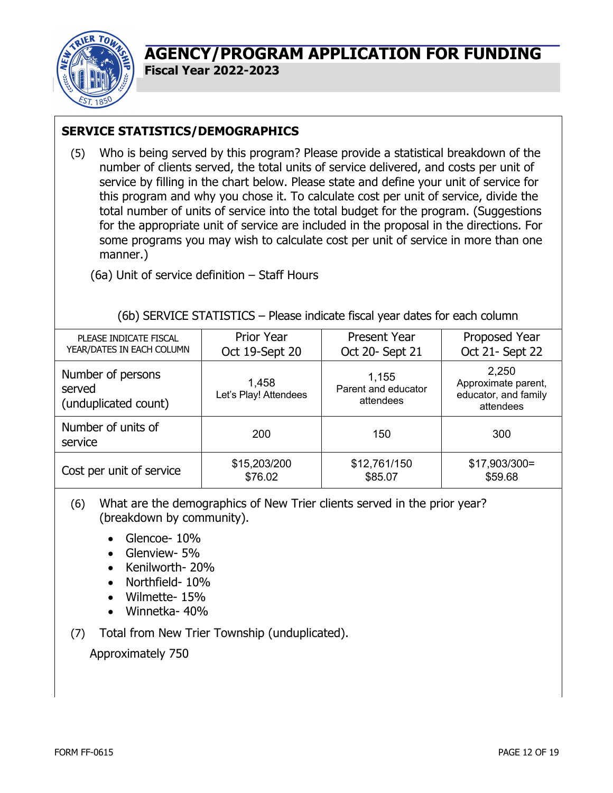

**Fiscal Year 2022-2023**

# **SERVICE STATISTICS/DEMOGRAPHICS**

(5) Who is being served by this program? Please provide a statistical breakdown of the number of clients served, the total units of service delivered, and costs per unit of service by filling in the chart below. Please state and define your unit of service for this program and why you chose it. To calculate cost per unit of service, divide the total number of units of service into the total budget for the program. (Suggestions for the appropriate unit of service are included in the proposal in the directions. For some programs you may wish to calculate cost per unit of service in more than one manner.)

(6a) Unit of service definition – Staff Hours

### (6b) SERVICE STATISTICS – Please indicate fiscal year dates for each column

| PLEASE INDICATE FISCAL<br>YEAR/DATES IN EACH COLUMN                                   | <b>Prior Year</b><br>Oct 19-Sept 20 | <b>Present Year</b><br>Oct 20- Sept 21    | Proposed Year<br>Oct 21- Sept 22                                  |  |  |
|---------------------------------------------------------------------------------------|-------------------------------------|-------------------------------------------|-------------------------------------------------------------------|--|--|
| Number of persons<br>1,458<br>served<br>Let's Play! Attendees<br>(unduplicated count) |                                     | 1,155<br>Parent and educator<br>attendees | 2,250<br>Approximate parent,<br>educator, and family<br>attendees |  |  |
| Number of units of<br>service                                                         | 200                                 | 150                                       | 300                                                               |  |  |
| Cost per unit of service                                                              | \$15,203/200<br>\$76.02             | \$12,761/150<br>\$85.07                   | $$17,903/300=$<br>\$59.68                                         |  |  |

(6) What are the demographics of New Trier clients served in the prior year? (breakdown by community).

- Glencoe- 10%
- Glenview- 5%
- Kenilworth- 20%
- Northfield- 10%
- Wilmette- 15%
- Winnetka- 40%
- (7) Total from New Trier Township (unduplicated).

Approximately 750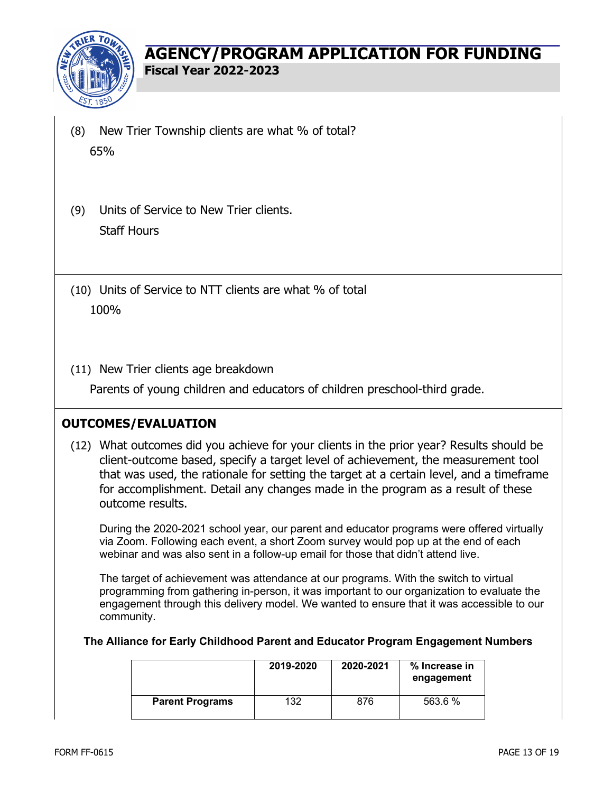

- (8) New Trier Township clients are what % of total? 65%
- (9) Units of Service to New Trier clients. Staff Hours
- (10) Units of Service to NTT clients are what % of total 100%
- (11) New Trier clients age breakdown

Parents of young children and educators of children preschool-third grade.

### **OUTCOMES/EVALUATION**

(12) What outcomes did you achieve for your clients in the prior year? Results should be client-outcome based, specify a target level of achievement, the measurement tool that was used, the rationale for setting the target at a certain level, and a timeframe for accomplishment. Detail any changes made in the program as a result of these outcome results.

During the 2020-2021 school year, our parent and educator programs were offered virtually via Zoom. Following each event, a short Zoom survey would pop up at the end of each webinar and was also sent in a follow-up email for those that didn't attend live.

The target of achievement was attendance at our programs. With the switch to virtual programming from gathering in-person, it was important to our organization to evaluate the engagement through this delivery model. We wanted to ensure that it was accessible to our community.

#### **The Alliance for Early Childhood Parent and Educator Program Engagement Numbers**

|                        | 2019-2020 | 2020-2021 | % Increase in<br>engagement |
|------------------------|-----------|-----------|-----------------------------|
| <b>Parent Programs</b> | 132       | 876       | 563.6 %                     |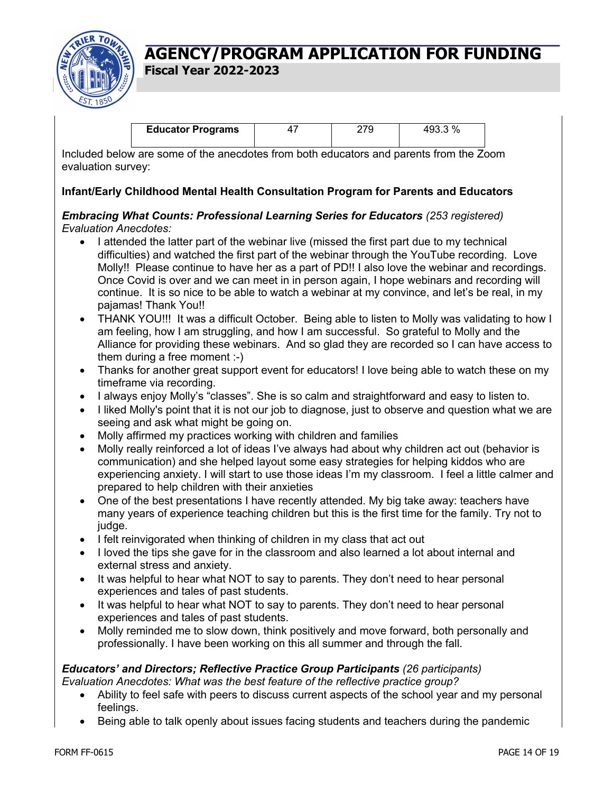

**Fiscal Year 2022-2023**

| <b>Educator Programs</b> |  |  |
|--------------------------|--|--|
|                          |  |  |

Included below are some of the anecdotes from both educators and parents from the Zoom evaluation survey:

#### **Infant/Early Childhood Mental Health Consultation Program for Parents and Educators**

#### *Embracing What Counts: Professional Learning Series for Educators (253 registered) Evaluation Anecdotes:*

- I attended the latter part of the webinar live (missed the first part due to my technical difficulties) and watched the first part of the webinar through the YouTube recording. Love Molly!! Please continue to have her as a part of PD!! I also love the webinar and recordings. Once Covid is over and we can meet in in person again, I hope webinars and recording will continue. It is so nice to be able to watch a webinar at my convince, and let's be real, in my pajamas! Thank You!!
- THANK YOU!!! It was a difficult October. Being able to listen to Molly was validating to how I am feeling, how I am struggling, and how I am successful. So grateful to Molly and the Alliance for providing these webinars. And so glad they are recorded so I can have access to them during a free moment :-)
- Thanks for another great support event for educators! I love being able to watch these on my timeframe via recording.
- I always enjoy Molly's "classes". She is so calm and straightforward and easy to listen to.
- I liked Molly's point that it is not our job to diagnose, just to observe and question what we are seeing and ask what might be going on.
- Molly affirmed my practices working with children and families
- Molly really reinforced a lot of ideas I've always had about why children act out (behavior is communication) and she helped layout some easy strategies for helping kiddos who are experiencing anxiety. I will start to use those ideas I'm my classroom. I feel a little calmer and prepared to help children with their anxieties
- One of the best presentations I have recently attended. My big take away: teachers have many years of experience teaching children but this is the first time for the family. Try not to judge.
- I felt reinvigorated when thinking of children in my class that act out
- I loved the tips she gave for in the classroom and also learned a lot about internal and external stress and anxiety.
- It was helpful to hear what NOT to say to parents. They don't need to hear personal experiences and tales of past students.
- It was helpful to hear what NOT to say to parents. They don't need to hear personal experiences and tales of past students.
- Molly reminded me to slow down, think positively and move forward, both personally and professionally. I have been working on this all summer and through the fall.

# *Educators' and Directors; Reflective Practice Group Participants (26 participants)*

*Evaluation Anecdotes: What was the best feature of the reflective practice group?* 

- Ability to feel safe with peers to discuss current aspects of the school year and my personal feelings.
- Being able to talk openly about issues facing students and teachers during the pandemic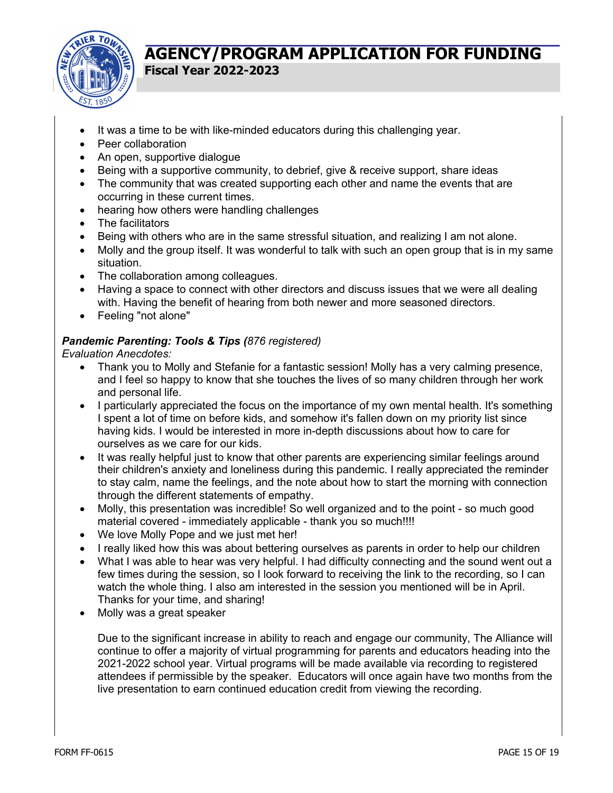

- It was a time to be with like-minded educators during this challenging year.
- Peer collaboration
- An open, supportive dialogue
- Being with a supportive community, to debrief, give & receive support, share ideas
- The community that was created supporting each other and name the events that are occurring in these current times.
- hearing how others were handling challenges
- The facilitators
- Being with others who are in the same stressful situation, and realizing I am not alone.
- Molly and the group itself. It was wonderful to talk with such an open group that is in my same situation.
- The collaboration among colleagues.
- Having a space to connect with other directors and discuss issues that we were all dealing with. Having the benefit of hearing from both newer and more seasoned directors.
- Feeling "not alone"

#### *Pandemic Parenting: Tools & Tips (876 registered)*

*Evaluation Anecdotes:*

- Thank you to Molly and Stefanie for a fantastic session! Molly has a very calming presence, and I feel so happy to know that she touches the lives of so many children through her work and personal life.
- I particularly appreciated the focus on the importance of my own mental health. It's something I spent a lot of time on before kids, and somehow it's fallen down on my priority list since having kids. I would be interested in more in-depth discussions about how to care for ourselves as we care for our kids.
- It was really helpful just to know that other parents are experiencing similar feelings around their children's anxiety and loneliness during this pandemic. I really appreciated the reminder to stay calm, name the feelings, and the note about how to start the morning with connection through the different statements of empathy.
- Molly, this presentation was incredible! So well organized and to the point so much good material covered - immediately applicable - thank you so much!!!!
- We love Molly Pope and we just met her!
- I really liked how this was about bettering ourselves as parents in order to help our children
- What I was able to hear was very helpful. I had difficulty connecting and the sound went out a few times during the session, so I look forward to receiving the link to the recording, so I can watch the whole thing. I also am interested in the session you mentioned will be in April. Thanks for your time, and sharing!
- Molly was a great speaker

Due to the significant increase in ability to reach and engage our community, The Alliance will continue to offer a majority of virtual programming for parents and educators heading into the 2021-2022 school year. Virtual programs will be made available via recording to registered attendees if permissible by the speaker. Educators will once again have two months from the live presentation to earn continued education credit from viewing the recording.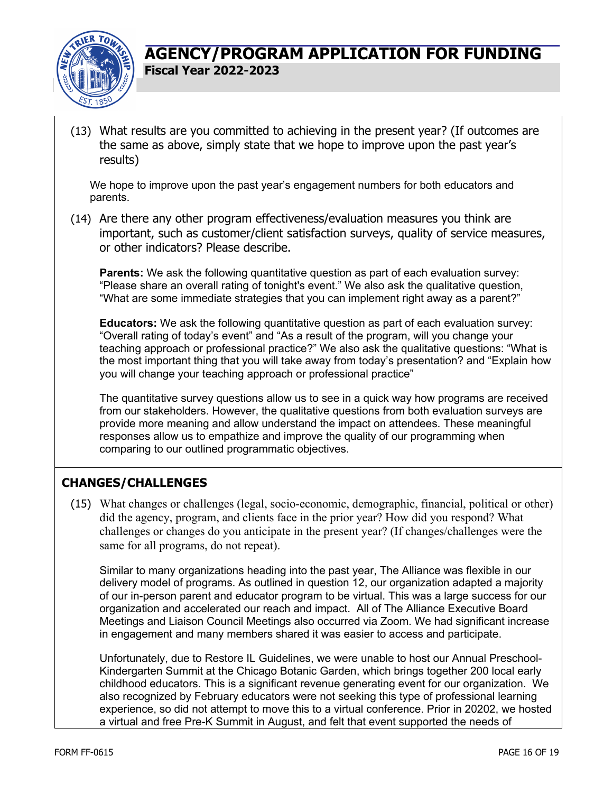

(13) What results are you committed to achieving in the present year? (If outcomes are the same as above, simply state that we hope to improve upon the past year's results)

We hope to improve upon the past year's engagement numbers for both educators and parents.

(14) Are there any other program effectiveness/evaluation measures you think are important, such as customer/client satisfaction surveys, quality of service measures, or other indicators? Please describe.

**Parents:** We ask the following quantitative question as part of each evaluation survey: "Please share an overall rating of tonight's event." We also ask the qualitative question, "What are some immediate strategies that you can implement right away as a parent?"

**Educators:** We ask the following quantitative question as part of each evaluation survey: "Overall rating of today's event" and "As a result of the program, will you change your teaching approach or professional practice?" We also ask the qualitative questions: "What is the most important thing that you will take away from today's presentation? and "Explain how you will change your teaching approach or professional practice"

The quantitative survey questions allow us to see in a quick way how programs are received from our stakeholders. However, the qualitative questions from both evaluation surveys are provide more meaning and allow understand the impact on attendees. These meaningful responses allow us to empathize and improve the quality of our programming when comparing to our outlined programmatic objectives.

### **CHANGES/CHALLENGES**

(15) What changes or challenges (legal, socio-economic, demographic, financial, political or other) did the agency, program, and clients face in the prior year? How did you respond? What challenges or changes do you anticipate in the present year? (If changes/challenges were the same for all programs, do not repeat).

Similar to many organizations heading into the past year, The Alliance was flexible in our delivery model of programs. As outlined in question 12, our organization adapted a majority of our in-person parent and educator program to be virtual. This was a large success for our organization and accelerated our reach and impact. All of The Alliance Executive Board Meetings and Liaison Council Meetings also occurred via Zoom. We had significant increase in engagement and many members shared it was easier to access and participate.

Unfortunately, due to Restore IL Guidelines, we were unable to host our Annual Preschool-Kindergarten Summit at the Chicago Botanic Garden, which brings together 200 local early childhood educators. This is a significant revenue generating event for our organization. We also recognized by February educators were not seeking this type of professional learning experience, so did not attempt to move this to a virtual conference. Prior in 20202, we hosted a virtual and free Pre-K Summit in August, and felt that event supported the needs of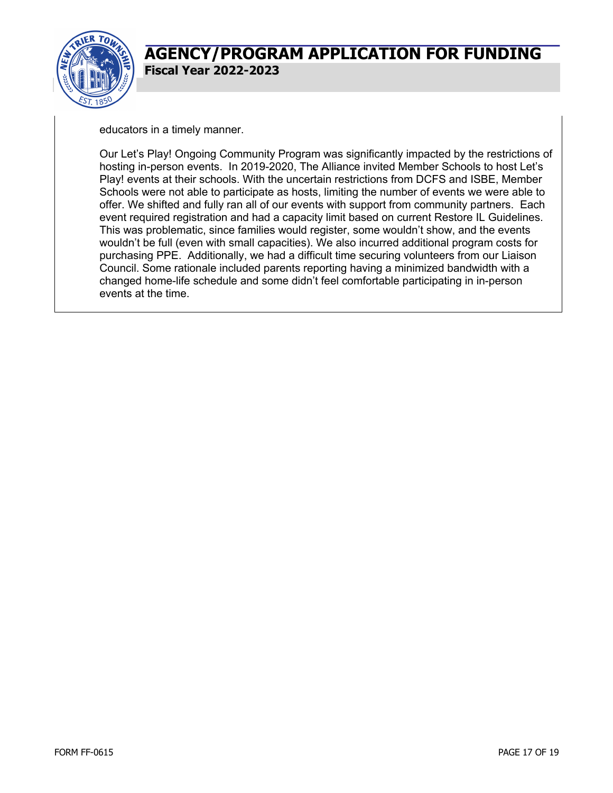

educators in a timely manner.

Our Let's Play! Ongoing Community Program was significantly impacted by the restrictions of hosting in-person events. In 2019-2020, The Alliance invited Member Schools to host Let's Play! events at their schools. With the uncertain restrictions from DCFS and ISBE, Member Schools were not able to participate as hosts, limiting the number of events we were able to offer. We shifted and fully ran all of our events with support from community partners. Each event required registration and had a capacity limit based on current Restore IL Guidelines. This was problematic, since families would register, some wouldn't show, and the events wouldn't be full (even with small capacities). We also incurred additional program costs for purchasing PPE. Additionally, we had a difficult time securing volunteers from our Liaison Council. Some rationale included parents reporting having a minimized bandwidth with a changed home-life schedule and some didn't feel comfortable participating in in-person events at the time.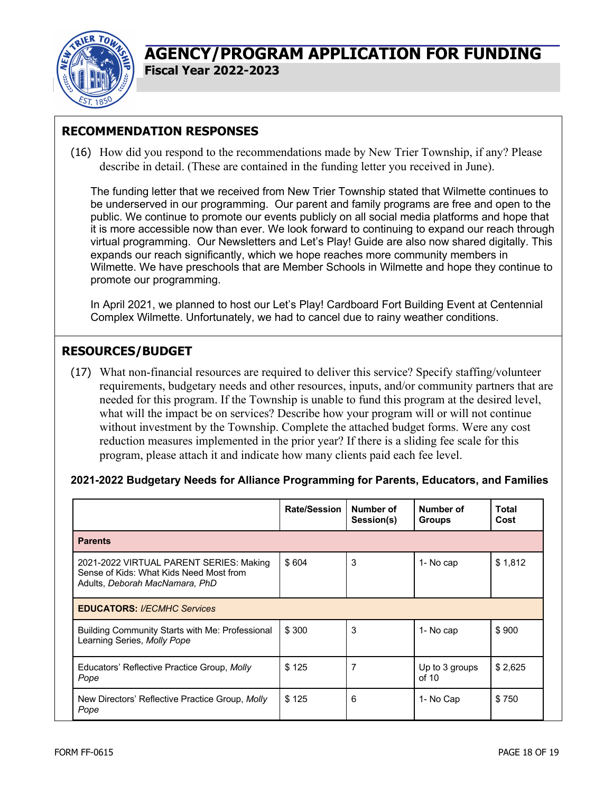

**Fiscal Year 2022-2023**

# **RECOMMENDATION RESPONSES**

(16) How did you respond to the recommendations made by New Trier Township, if any? Please describe in detail. (These are contained in the funding letter you received in June).

The funding letter that we received from New Trier Township stated that Wilmette continues to be underserved in our programming. Our parent and family programs are free and open to the public. We continue to promote our events publicly on all social media platforms and hope that it is more accessible now than ever. We look forward to continuing to expand our reach through virtual programming. Our Newsletters and Let's Play! Guide are also now shared digitally. This expands our reach significantly, which we hope reaches more community members in Wilmette. We have preschools that are Member Schools in Wilmette and hope they continue to promote our programming.

In April 2021, we planned to host our Let's Play! Cardboard Fort Building Event at Centennial Complex Wilmette. Unfortunately, we had to cancel due to rainy weather conditions.

## **RESOURCES/BUDGET**

(17) What non-financial resources are required to deliver this service? Specify staffing/volunteer requirements, budgetary needs and other resources, inputs, and/or community partners that are needed for this program. If the Township is unable to fund this program at the desired level, what will the impact be on services? Describe how your program will or will not continue without investment by the Township. Complete the attached budget forms. Were any cost reduction measures implemented in the prior year? If there is a sliding fee scale for this program, please attach it and indicate how many clients paid each fee level.

#### **2021-2022 Budgetary Needs for Alliance Programming for Parents, Educators, and Families**

|                                                                                                                      | <b>Rate/Session</b> | Number of<br>Session(s) | Number of<br><b>Groups</b> | Total<br>Cost |
|----------------------------------------------------------------------------------------------------------------------|---------------------|-------------------------|----------------------------|---------------|
| <b>Parents</b>                                                                                                       |                     |                         |                            |               |
| 2021-2022 VIRTUAL PARENT SERIES: Making<br>Sense of Kids: What Kids Need Most from<br>Adults, Deborah MacNamara, PhD | \$604               | 3                       | 1- No cap                  | \$1,812       |
| <b>EDUCATORS: I/ECMHC Services</b>                                                                                   |                     |                         |                            |               |
| Building Community Starts with Me: Professional<br>Learning Series, Molly Pope                                       | \$300               | 3                       | 1- No cap                  | \$900         |
| Educators' Reflective Practice Group, Molly<br>Pope                                                                  | \$125               | 7                       | Up to 3 groups<br>of $10$  | \$2,625       |
| New Directors' Reflective Practice Group, Molly<br>Pope                                                              | \$125               | 6                       | 1- No Cap                  | \$750         |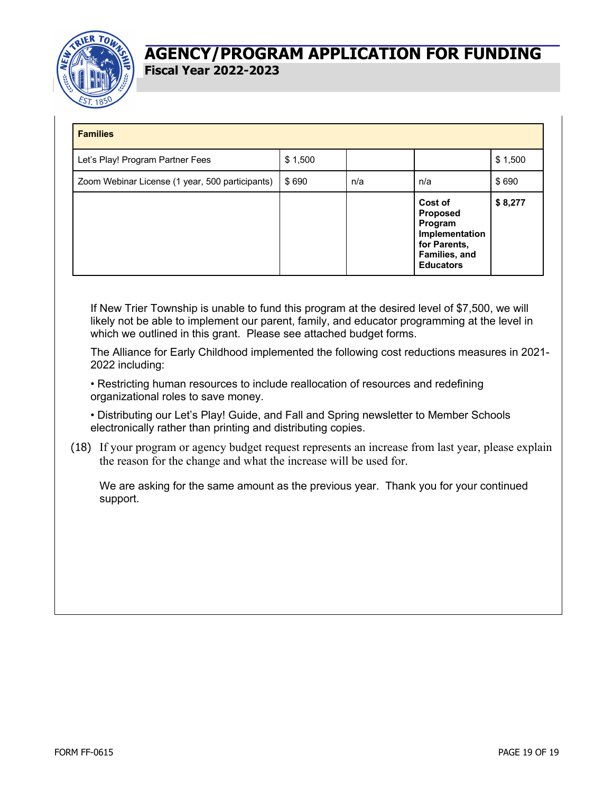

| <b>Families</b>                                 |         |     |                                                                                                              |         |
|-------------------------------------------------|---------|-----|--------------------------------------------------------------------------------------------------------------|---------|
| Let's Play! Program Partner Fees                | \$1,500 |     |                                                                                                              | \$1,500 |
| Zoom Webinar License (1 year, 500 participants) | \$690   | n/a | n/a                                                                                                          | \$690   |
|                                                 |         |     | Cost of<br><b>Proposed</b><br>Program<br>Implementation<br>for Parents,<br>Families, and<br><b>Educators</b> | \$8,277 |

If New Trier Township is unable to fund this program at the desired level of \$7,500, we will likely not be able to implement our parent, family, and educator programming at the level in which we outlined in this grant. Please see attached budget forms.

The Alliance for Early Childhood implemented the following cost reductions measures in 2021- 2022 including:

• Restricting human resources to include reallocation of resources and redefining organizational roles to save money.

• Distributing our Let's Play! Guide, and Fall and Spring newsletter to Member Schools electronically rather than printing and distributing copies.

(18) If your program or agency budget request represents an increase from last year, please explain the reason for the change and what the increase will be used for.

We are asking for the same amount as the previous year. Thank you for your continued support.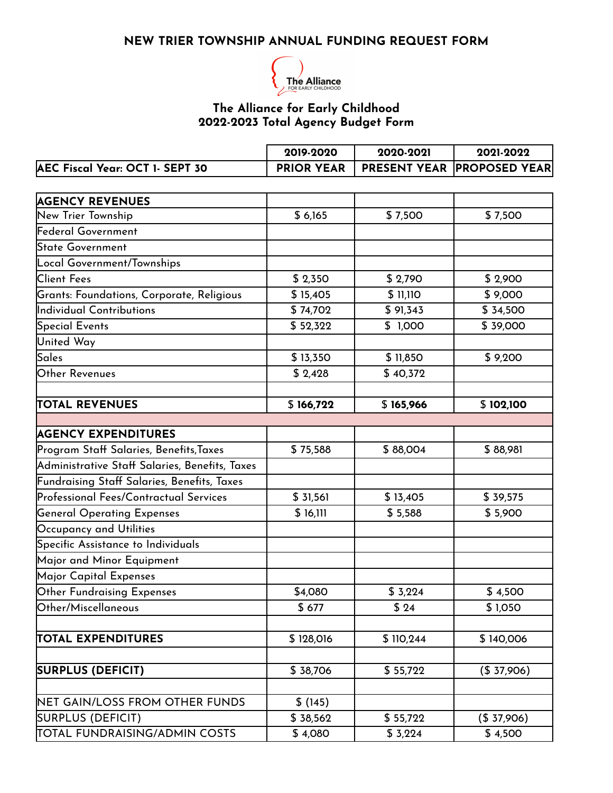### **NEW TRIER TOWNSHIP ANNUAL FUNDING REQUEST FORM**



#### **The Alliance for Early Childhood 2022-2023 Total Agency Budget Form**

|                                 | 2019-2020 | 2020-2021 | 2021-2022                                      |
|---------------------------------|-----------|-----------|------------------------------------------------|
| AEC Fiscal Year: OCT 1- SEPT 30 |           |           | <b>PRIOR YEAR   PRESENT YEAR PROPOSED YEAR</b> |

| <b>AGENCY REVENUES</b>                         |           |           |            |
|------------------------------------------------|-----------|-----------|------------|
| New Trier Township                             | \$6,165   | \$7,500   | \$7,500    |
| Federal Government                             |           |           |            |
| State Government                               |           |           |            |
| Local Government/Townships                     |           |           |            |
| <b>Client Fees</b>                             | \$2,350   | \$2,790   | \$2,900    |
| Grants: Foundations, Corporate, Religious      | \$15,405  | \$ 11,110 | \$9,000    |
| Individual Contributions                       | \$74,702  | \$91,343  | \$ 34,500  |
| Special Events                                 | \$52,322  | \$1,000   | \$39,000   |
| <b>United Way</b>                              |           |           |            |
| Sales                                          | \$13,350  | \$11,850  | \$9,200    |
| Other Revenues                                 | \$2,428   | \$40,372  |            |
| <b>TOTAL REVENUES</b>                          | \$166,722 | \$165,966 | \$102,100  |
|                                                |           |           |            |
| <b>AGENCY EXPENDITURES</b>                     |           |           |            |
| Program Staff Salaries, Benefits, Taxes        | \$75,588  | \$88,004  | \$88,981   |
| Administrative Staff Salaries, Benefits, Taxes |           |           |            |
| Fundraising Staff Salaries, Benefits, Taxes    |           |           |            |
| Professional Fees/Contractual Services         | \$31,561  | \$13,405  | \$39,575   |
| <b>General Operating Expenses</b>              | \$16,111  | \$5,588   | \$5,900    |
| Occupancy and Utilities                        |           |           |            |
| Specific Assistance to Individuals             |           |           |            |
| Major and Minor Equipment                      |           |           |            |
| Major Capital Expenses                         |           |           |            |
| Other Fundraising Expenses                     | \$4,080   | \$3,224   | \$4,500    |
| Other/Miscellaneous                            | \$677     | \$24      | \$1,050    |
|                                                |           |           |            |
| <b>TOTAL EXPENDITURES</b>                      | \$128,016 | \$110,244 | \$140,006  |
| <b>SURPLUS (DEFICIT)</b>                       | \$38,706  | \$55,722  | (\$37,906) |
|                                                |           |           |            |
| NET GAIN/LOSS FROM OTHER FUNDS                 | \$(145)   |           |            |
| SURPLUS (DEFICIT)                              | \$38,562  | \$55,722  | (\$37,906) |
| TOTAL FUNDRAISING/ADMIN COSTS                  | \$4,080   | \$3,224   | \$4,500    |